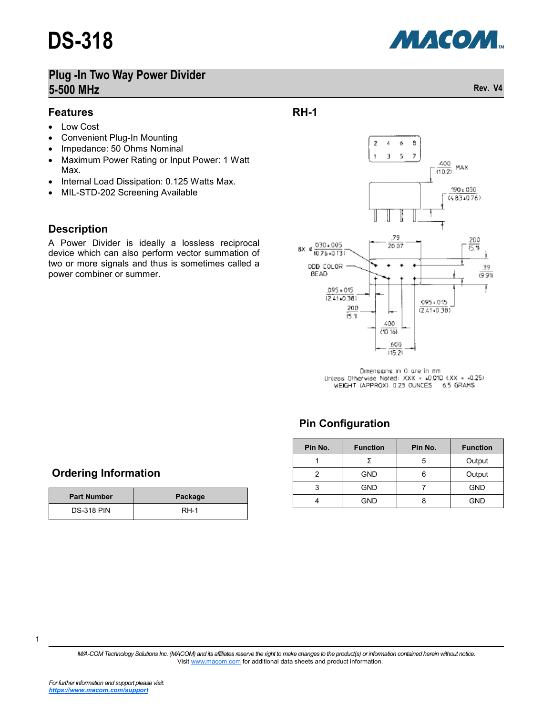

## **Plug -In Two Way Power Divider 5-500 MHz Rev. V4**

#### **Features**

- Low Cost
- Convenient Plug-In Mounting
- Impedance: 50 Ohms Nominal
- Maximum Power Rating or Input Power: 1 Watt Max.
- Internal Load Dissipation: 0.125 Watts Max.
- MIL-STD-202 Screening Available

#### **Description**

A Power Divider is ideally a lossless reciprocal device which can also perform vector summation of two or more signals and thus is sometimes called a power combiner or summer.

## **RH-1**



Dimensions in 0 are in mm Unless Otherwise Noted: . XXX - 40,010 (.XX = -0.25) WEIGHT (APPROX): 0.23 OUNCES 6.5 GRAMS

## **Pin Configuration**

| Pin No. | <b>Function</b> | Pin No. | <b>Function</b> |  |  |
|---------|-----------------|---------|-----------------|--|--|
|         |                 | 5       | Output          |  |  |
|         | <b>GND</b>      |         | Output          |  |  |
| 3       | <b>GND</b>      |         | <b>GND</b>      |  |  |
|         | GND             |         | GND             |  |  |

#### **Ordering Information**

| <b>Part Number</b> | Package |  |  |
|--------------------|---------|--|--|
| <b>DS-318 PIN</b>  | $RH-1$  |  |  |

*M/A-COM Technology Solutions Inc. (MACOM) and its affiliates reserve the right to make changes to the product(s) or information contained herein without notice.*  Visit [www.macom.com](http://www.macom.com/) for additional data sheets and product information.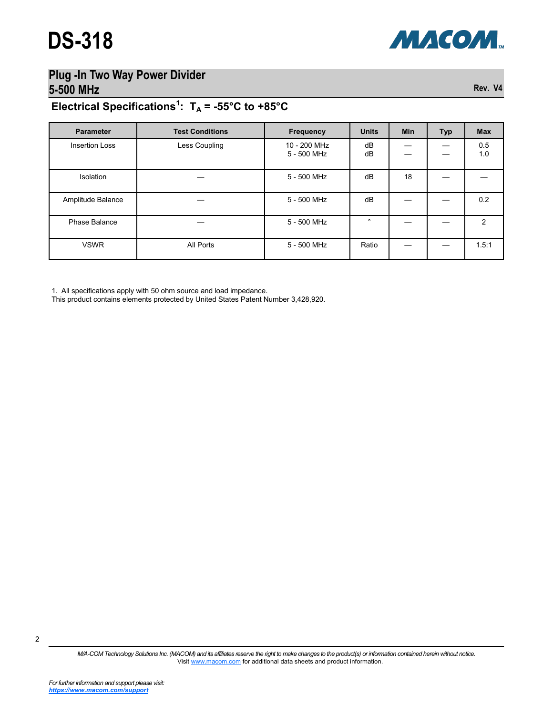

# **Plug -In Two Way Power Divider 5-500 MHz Rev. V4**

## **Electrical Specifications<sup>1</sup> : T<sup>A</sup> = -55°C to +85°C**

| <b>Parameter</b>      | <b>Test Conditions</b> | <b>Frequency</b>            | <b>Units</b> | <b>Min</b> | Typ | <b>Max</b>    |
|-----------------------|------------------------|-----------------------------|--------------|------------|-----|---------------|
| <b>Insertion Loss</b> | Less Coupling          | 10 - 200 MHz<br>5 - 500 MHz | dB<br>dB     |            |     | 0.5<br>1.0    |
| Isolation             |                        | 5 - 500 MHz                 | dB           | 18         |     |               |
| Amplitude Balance     |                        | 5 - 500 MHz                 | dB           |            |     | 0.2           |
| Phase Balance         |                        | 5 - 500 MHz                 | $\circ$      |            |     | $\mathcal{P}$ |
| <b>VSWR</b>           | All Ports              | 5 - 500 MHz                 | Ratio        |            |     | 1.5:1         |

1. All specifications apply with 50 ohm source and load impedance.

This product contains elements protected by United States Patent Number 3,428,920.

2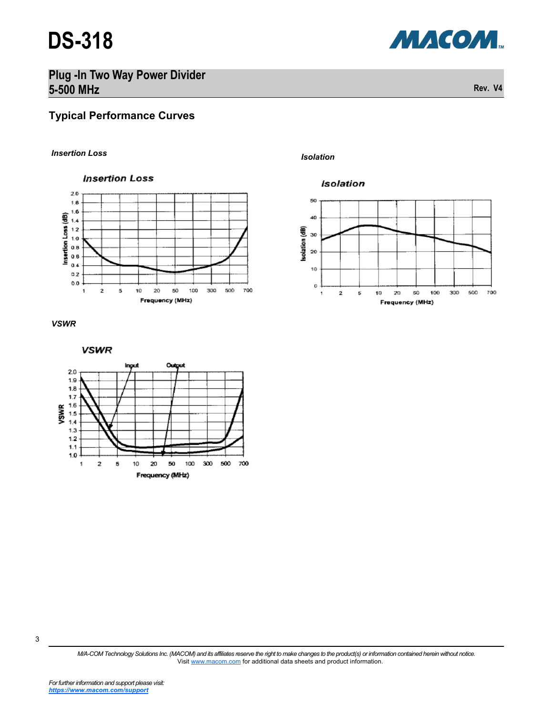# **DS-318**



# **Plug -In Two Way Power Divider 5-500 MHz Rev. V4**

## **Typical Performance Curves**

### *Isolation Insertion Loss*







Isolation







*M/A-COM Technology Solutions Inc. (MACOM) and its affiliates reserve the right to make changes to the product(s) or information contained herein without notice.*  Visit [www.macom.com](http://www.macom.com/) for additional data sheets and product information.